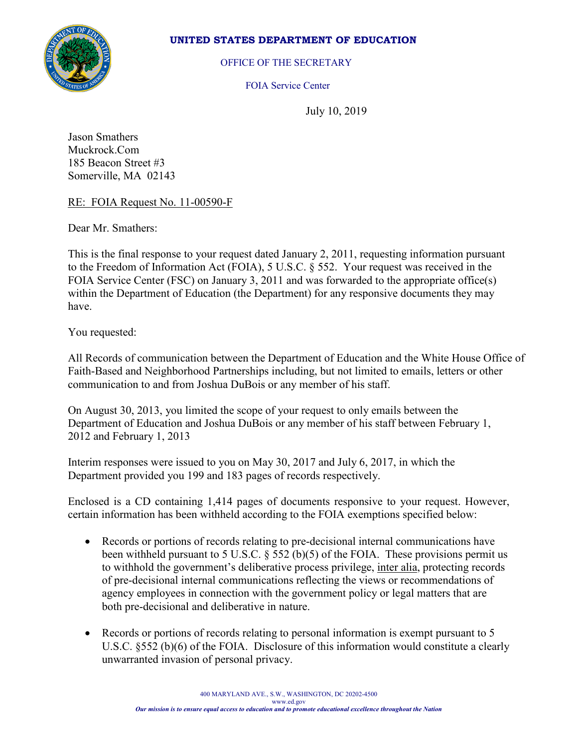

## **UNITED STATES DEPARTMENT OF EDUCATION**

OFFICE OF THE SECRETARY

FOIA Service Center

July 10, 2019

Jason Smathers Muckrock.Com 185 Beacon Street #3 Somerville, MA 02143

## RE: FOIA Request No. 11-00590-F

Dear Mr. Smathers:

This is the final response to your request dated January 2, 2011, requesting information pursuant to the Freedom of Information Act (FOIA), 5 U.S.C. § 552. Your request was received in the FOIA Service Center (FSC) on January 3, 2011 and was forwarded to the appropriate office(s) within the Department of Education (the Department) for any responsive documents they may have.

You requested:

All Records of communication between the Department of Education and the White House Office of Faith-Based and Neighborhood Partnerships including, but not limited to emails, letters or other communication to and from Joshua DuBois or any member of his staff.

On August 30, 2013, you limited the scope of your request to only emails between the Department of Education and Joshua DuBois or any member of his staff between February 1, 2012 and February 1, 2013

Interim responses were issued to you on May 30, 2017 and July 6, 2017, in which the Department provided you 199 and 183 pages of records respectively.

Enclosed is a CD containing 1,414 pages of documents responsive to your request. However, certain information has been withheld according to the FOIA exemptions specified below:

- Records or portions of records relating to pre-decisional internal communications have been withheld pursuant to 5 U.S.C.  $\S$  552 (b)(5) of the FOIA. These provisions permit us to withhold the government's deliberative process privilege, inter alia, protecting records of pre-decisional internal communications reflecting the views or recommendations of agency employees in connection with the government policy or legal matters that are both pre-decisional and deliberative in nature.
- Records or portions of records relating to personal information is exempt pursuant to 5 U.S.C. §552 (b)(6) of the FOIA. Disclosure of this information would constitute a clearly unwarranted invasion of personal privacy.